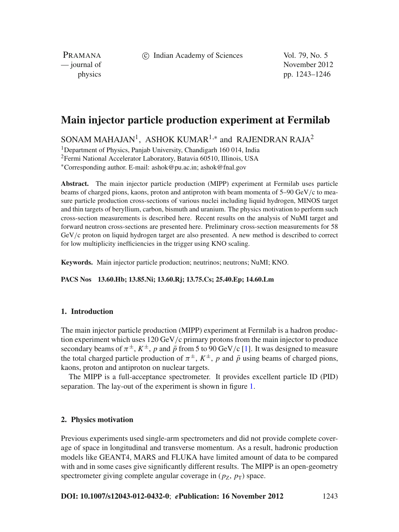c Indian Academy of Sciences Vol. 79, No. 5

PRAMANA

— journal of November 2012 physics pp. 1243–1246

# **Main injector particle production experiment at Fermilab**

SONAM MAHAJAN<sup>1</sup>, ASHOK KUMAR<sup>1,∗</sup> and RAJENDRAN RAJA<sup>2</sup>

<sup>1</sup>Department of Physics, Panjab University, Chandigarh 160 014, India

2Fermi National Accelerator Laboratory, Batavia 60510, Illinois, USA

<sup>∗</sup>Corresponding author. E-mail: ashok@pu.ac.in; ashok@fnal.gov

**Abstract.** The main injector particle production (MIPP) experiment at Fermilab uses particle beams of charged pions, kaons, proton and antiproton with beam momenta of  $5-90 \text{ GeV}/c$  to measure particle production cross-sections of various nuclei including liquid hydrogen, MINOS target and thin targets of beryllium, carbon, bismuth and uranium. The physics motivation to perform such cross-section measurements is described here. Recent results on the analysis of NuMI target and forward neutron cross-sections are presented here. Preliminary cross-section measurements for 58 GeV/c proton on liquid hydrogen target are also presented. A new method is described to correct for low multiplicity inefficiencies in the trigger using KNO scaling.

**Keywords.** Main injector particle production; neutrinos; neutrons; NuMI; KNO.

**PACS Nos 13.60.Hb; 13.85.Ni; 13.60.Rj; 13.75.Cs; 25.40.Ep; 14.60.Lm**

## **1. Introduction**

The main injector particle production (MIPP) experiment at Fermilab is a hadron production experiment which uses  $120 \,\text{GeV/c}$  primary protons from the main injector to produce secondary beams of  $\pi^{\pm}$ ,  $K^{\pm}$ , *p* and  $\bar{p}$  from 5 to 90 GeV/c [\[1](#page-3-0)]. It was designed to measure the total charged particle production of  $\pi^{\pm}$ ,  $K^{\pm}$ , *p* and  $\bar{p}$  using beams of charged pions, kaons, proton and antiproton on nuclear targets.

The MIPP is a full-acceptance spectrometer. It provides excellent particle ID (PID) separation. The lay-out of the experiment is shown in figure [1.](#page-1-0)

#### **2. Physics motivation**

Previous experiments used single-arm spectrometers and did not provide complete coverage of space in longitudinal and transverse momentum. As a result, hadronic production models like GEANT4, MARS and FLUKA have limited amount of data to be compared with and in some cases give significantly different results. The MIPP is an open-geometry spectrometer giving complete angular coverage in  $(p_Z, p_T)$  space.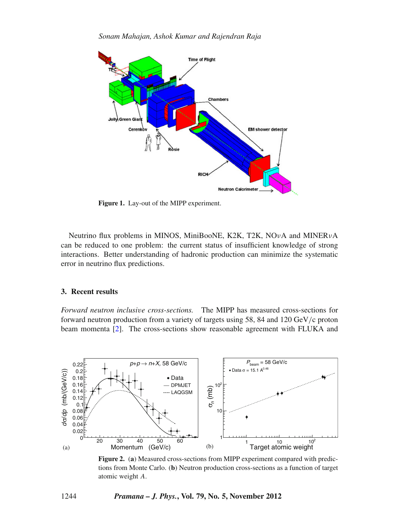<span id="page-1-0"></span>

**Figure 1.** Lay-out of the MIPP experiment.

Neutrino flux problems in MINOS, MiniBooNE, K2K, T2K, NOνA and MINERνA can be reduced to one problem: the current status of insufficient knowledge of strong interactions. Better understanding of hadronic production can minimize the systematic error in neutrino flux predictions.

## **3. Recent results**

*Forward neutron inclusi*v*e cross-sections.* The MIPP has measured cross-sections for forward neutron production from a variety of targets using 58, 84 and 120 GeV/c proton beam momenta [\[2](#page-3-1)]. The cross-sections show reasonable agreement with FLUKA and

<span id="page-1-1"></span>

**Figure 2.** (**a**) Measured cross-sections from MIPP experiment compared with predictions from Monte Carlo. (**b**) Neutron production cross-sections as a function of target atomic weight *A*.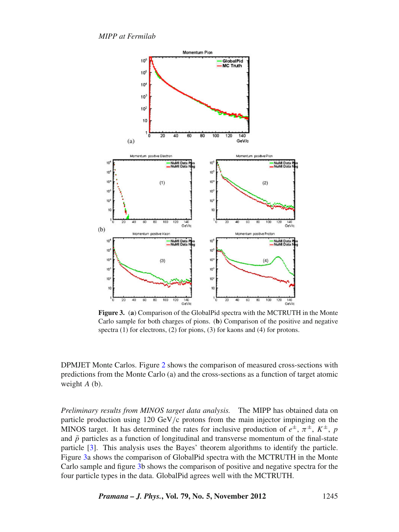*MIPP at Fermilab*

<span id="page-2-0"></span>

**Figure 3.** (**a**) Comparison of the GlobalPid spectra with the MCTRUTH in the Monte Carlo sample for both charges of pions. (**b**) Comparison of the positive and negative spectra (1) for electrons, (2) for pions, (3) for kaons and (4) for protons.

DPMJET Monte Carlos. Figure [2](#page-1-1) shows the comparison of measured cross-sections with predictions from the Monte Carlo (a) and the cross-sections as a function of target atomic weight *A* (b).

*Preliminary results from MINOS target data analysis.* The MIPP has obtained data on particle production using  $120 \text{ GeV/c}$  protons from the main injector impinging on the MINOS target. It has determined the rates for inclusive production of  $e^{\pm}$ ,  $\pi^{\pm}$ ,  $K^{\pm}$ , *p* and  $\bar{p}$  particles as a function of longitudinal and transverse momentum of the final-state particle [\[3\]](#page-3-2). This analysis uses the Bayes' theorem algorithms to identify the particle. Figure [3a](#page-2-0) shows the comparison of GlobalPid spectra with the MCTRUTH in the Monte Carlo sample and figure [3b](#page-2-0) shows the comparison of positive and negative spectra for the four particle types in the data. GlobalPid agrees well with the MCTRUTH.